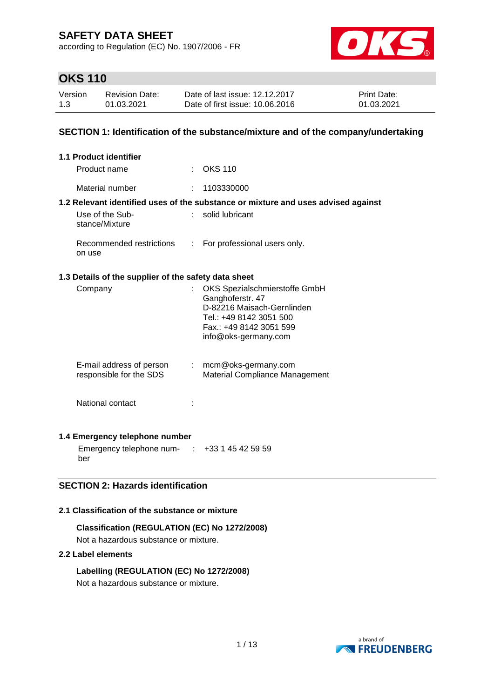according to Regulation (EC) No. 1907/2006 - FR



# **OKS 110**

| Version | <b>Revision Date:</b> | Date of last issue: 12.12.2017  | <b>Print Date:</b> |
|---------|-----------------------|---------------------------------|--------------------|
| 1.3     | 01.03.2021            | Date of first issue: 10.06.2016 | 01.03.2021         |

### **SECTION 1: Identification of the substance/mixture and of the company/undertaking**

| 1.1 Product identifier                               |                            |                                                                                                                                                               |
|------------------------------------------------------|----------------------------|---------------------------------------------------------------------------------------------------------------------------------------------------------------|
| Product name                                         |                            | $:$ OKS 110                                                                                                                                                   |
| Material number                                      |                            | 1103330000                                                                                                                                                    |
|                                                      |                            | 1.2 Relevant identified uses of the substance or mixture and uses advised against                                                                             |
| Use of the Sub-<br>stance/Mixture                    |                            | solid lubricant                                                                                                                                               |
| Recommended restrictions<br>on use                   |                            | : For professional users only.                                                                                                                                |
| 1.3 Details of the supplier of the safety data sheet |                            |                                                                                                                                                               |
| Company                                              |                            | OKS Spezialschmierstoffe GmbH<br>Ganghoferstr. 47<br>D-82216 Maisach-Gernlinden<br>Tel.: +49 8142 3051 500<br>Fax.: +49 8142 3051 599<br>info@oks-germany.com |
| E-mail address of person<br>responsible for the SDS  | $\mathcal{L}^{\text{max}}$ | mcm@oks-germany.com<br>Material Compliance Management                                                                                                         |
| National contact                                     |                            |                                                                                                                                                               |

### **1.4 Emergency telephone number**

Emergency telephone num- : +33 1 45 42 59 59 ber

## **SECTION 2: Hazards identification**

#### **2.1 Classification of the substance or mixture**

**Classification (REGULATION (EC) No 1272/2008)** Not a hazardous substance or mixture.

#### **2.2 Label elements**

**Labelling (REGULATION (EC) No 1272/2008)** Not a hazardous substance or mixture.

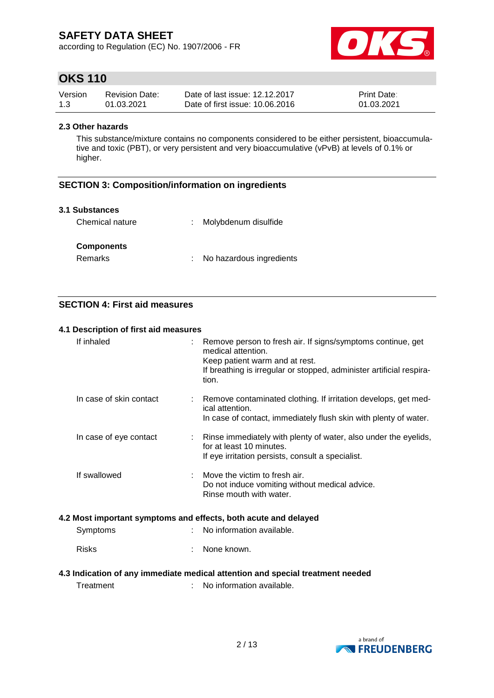according to Regulation (EC) No. 1907/2006 - FR



# **OKS 110**

| Version | <b>Revision Date:</b> | Date of last issue: 12.12.2017  | <b>Print Date:</b> |
|---------|-----------------------|---------------------------------|--------------------|
| 1.3     | 01.03.2021            | Date of first issue: 10.06.2016 | 01.03.2021         |

#### **2.3 Other hazards**

This substance/mixture contains no components considered to be either persistent, bioaccumulative and toxic (PBT), or very persistent and very bioaccumulative (vPvB) at levels of 0.1% or higher.

## **SECTION 3: Composition/information on ingredients**

#### **3.1 Substances**

| Chemical nature   | : Molybdenum disulfide   |
|-------------------|--------------------------|
| <b>Components</b> |                          |
| Remarks           | No hazardous ingredients |

## **SECTION 4: First aid measures**

#### **4.1 Description of first aid measures**

| If inhaled                                                      |  | Remove person to fresh air. If signs/symptoms continue, get<br>medical attention.<br>Keep patient warm and at rest.<br>If breathing is irregular or stopped, administer artificial respira-<br>tion. |  |  |  |
|-----------------------------------------------------------------|--|------------------------------------------------------------------------------------------------------------------------------------------------------------------------------------------------------|--|--|--|
| In case of skin contact                                         |  | Remove contaminated clothing. If irritation develops, get med-<br>ical attention.<br>In case of contact, immediately flush skin with plenty of water.                                                |  |  |  |
| In case of eye contact                                          |  | Rinse immediately with plenty of water, also under the eyelids,<br>for at least 10 minutes.<br>If eye irritation persists, consult a specialist.                                                     |  |  |  |
| If swallowed                                                    |  | Move the victim to fresh air.<br>Do not induce vomiting without medical advice.<br>Rinse mouth with water.                                                                                           |  |  |  |
| 4.2 Most important symptoms and effects, both acute and delayed |  |                                                                                                                                                                                                      |  |  |  |
| Symptoms                                                        |  | No information available.                                                                                                                                                                            |  |  |  |
| <b>Risks</b>                                                    |  | None known.                                                                                                                                                                                          |  |  |  |
|                                                                 |  | 4.3 Indication of any immediate medical attention and special treatment needed                                                                                                                       |  |  |  |

Treatment : No information available.

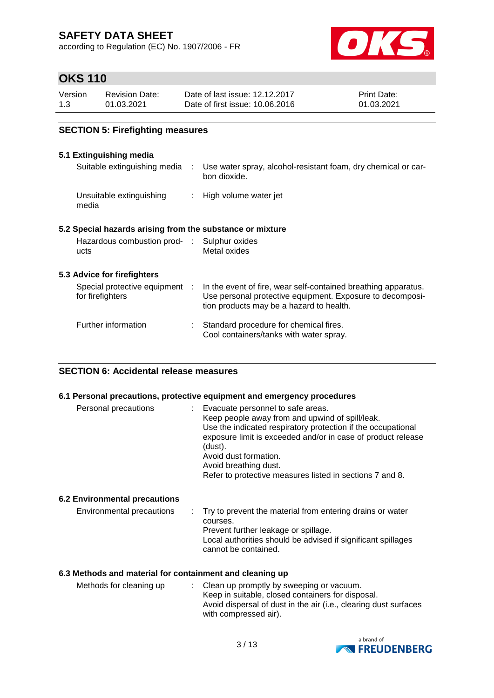according to Regulation (EC) No. 1907/2006 - FR



# **OKS 110**

| Version | <b>Revision Date:</b> | Date of last issue: 12.12.2017  | <b>Print Date:</b> |
|---------|-----------------------|---------------------------------|--------------------|
| 1.3     | 01.03.2021            | Date of first issue: 10.06.2016 | 01.03.2021         |

## **SECTION 5: Firefighting measures**

### **5.1 Extinguishing media**

| Suitable extinguishing media :                            | Use water spray, alcohol-resistant foam, dry chemical or car-<br>bon dioxide.                                                                                           |
|-----------------------------------------------------------|-------------------------------------------------------------------------------------------------------------------------------------------------------------------------|
| Unsuitable extinguishing<br>media                         | : High volume water jet                                                                                                                                                 |
| 5.2 Special hazards arising from the substance or mixture |                                                                                                                                                                         |
| Hazardous combustion prod- : Sulphur oxides<br>ucts       | Metal oxides                                                                                                                                                            |
| 5.3 Advice for firefighters                               |                                                                                                                                                                         |
| Special protective equipment :<br>for firefighters        | In the event of fire, wear self-contained breathing apparatus.<br>Use personal protective equipment. Exposure to decomposi-<br>tion products may be a hazard to health. |
| Further information                                       | Standard procedure for chemical fires.<br>Cool containers/tanks with water spray.                                                                                       |
|                                                           |                                                                                                                                                                         |

#### **SECTION 6: Accidental release measures**

#### **6.1 Personal precautions, protective equipment and emergency procedures**

| Personal precautions                 | : Evacuate personnel to safe areas.<br>Keep people away from and upwind of spill/leak.<br>Use the indicated respiratory protection if the occupational<br>exposure limit is exceeded and/or in case of product release<br>(dust).<br>Avoid dust formation.<br>Avoid breathing dust.<br>Refer to protective measures listed in sections 7 and 8. |
|--------------------------------------|-------------------------------------------------------------------------------------------------------------------------------------------------------------------------------------------------------------------------------------------------------------------------------------------------------------------------------------------------|
| <b>6.2 Environmental precautions</b> |                                                                                                                                                                                                                                                                                                                                                 |
| Environmental precautions            | : Try to prevent the material from entering drains or water<br>courses.<br>Prevent further leakage or spillage.<br>Local authorities should be advised if significant spillages<br>cannot be contained.                                                                                                                                         |

### **6.3 Methods and material for containment and cleaning up**

| Methods for cleaning up | : Clean up promptly by sweeping or vacuum.                       |
|-------------------------|------------------------------------------------------------------|
|                         | Keep in suitable, closed containers for disposal.                |
|                         | Avoid dispersal of dust in the air (i.e., clearing dust surfaces |
|                         | with compressed air).                                            |

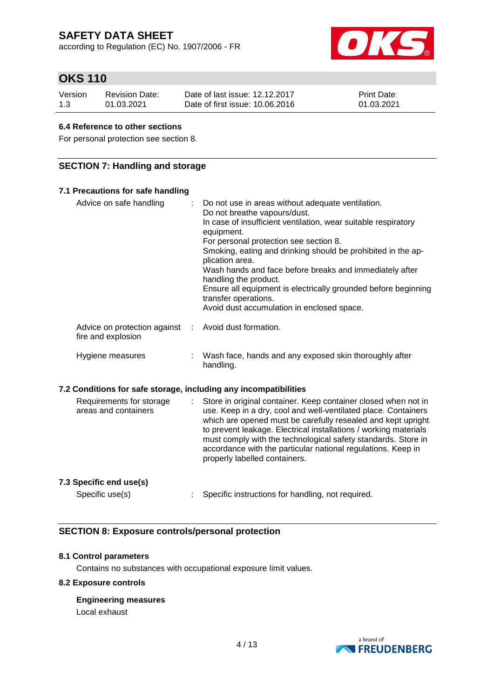according to Regulation (EC) No. 1907/2006 - FR



# **OKS 110**

| Version | <b>Revision Date:</b> | Date of last issue: 12.12.2017  | <b>Print Date:</b> |
|---------|-----------------------|---------------------------------|--------------------|
| 1.3     | 01.03.2021            | Date of first issue: 10.06.2016 | 01.03.2021         |

#### **6.4 Reference to other sections**

For personal protection see section 8.

## **SECTION 7: Handling and storage**

| 7.1 Precautions for safe handling                                |   |                                                                                                                                                                                                                                                                                                                                                                                                                                                                                                                            |
|------------------------------------------------------------------|---|----------------------------------------------------------------------------------------------------------------------------------------------------------------------------------------------------------------------------------------------------------------------------------------------------------------------------------------------------------------------------------------------------------------------------------------------------------------------------------------------------------------------------|
| Advice on safe handling                                          | ÷ | Do not use in areas without adequate ventilation.<br>Do not breathe vapours/dust.<br>In case of insufficient ventilation, wear suitable respiratory<br>equipment.<br>For personal protection see section 8.<br>Smoking, eating and drinking should be prohibited in the ap-<br>plication area.<br>Wash hands and face before breaks and immediately after<br>handling the product.<br>Ensure all equipment is electrically grounded before beginning<br>transfer operations.<br>Avoid dust accumulation in enclosed space. |
| Advice on protection against<br>fire and explosion               | ÷ | Avoid dust formation.                                                                                                                                                                                                                                                                                                                                                                                                                                                                                                      |
| Hygiene measures                                                 |   | Wash face, hands and any exposed skin thoroughly after<br>handling.                                                                                                                                                                                                                                                                                                                                                                                                                                                        |
| 7.2 Conditions for safe storage, including any incompatibilities |   |                                                                                                                                                                                                                                                                                                                                                                                                                                                                                                                            |
| Requirements for storage<br>areas and containers                 |   | Store in original container. Keep container closed when not in<br>use. Keep in a dry, cool and well-ventilated place. Containers<br>which are opened must be carefully resealed and kept upright<br>to prevent leakage. Electrical installations / working materials<br>must comply with the technological safety standards. Store in<br>accordance with the particular national regulations. Keep in<br>properly labelled containers.                                                                                     |
| 7.3 Specific end use(s)                                          |   |                                                                                                                                                                                                                                                                                                                                                                                                                                                                                                                            |

Specific use(s) : Specific instructions for handling, not required.

## **SECTION 8: Exposure controls/personal protection**

#### **8.1 Control parameters**

Contains no substances with occupational exposure limit values.

#### **8.2 Exposure controls**

**Engineering measures**

Local exhaust

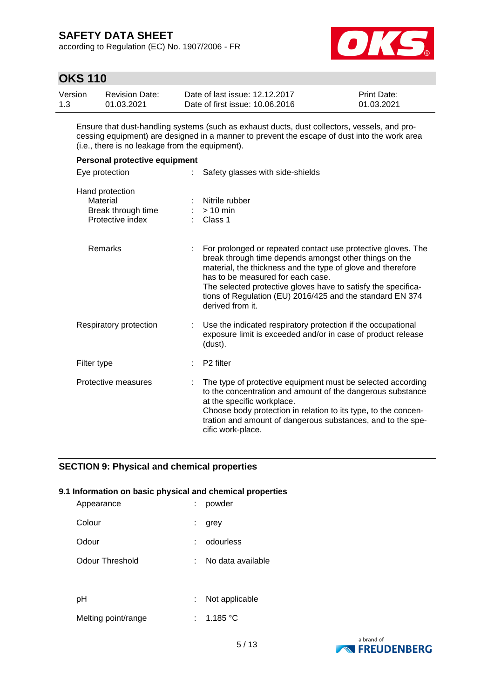according to Regulation (EC) No. 1907/2006 - FR



# **OKS 110**

| Version | Revision Date: | Date of last issue: 12.12.2017  | <b>Print Date:</b> |
|---------|----------------|---------------------------------|--------------------|
| 1.3     | 01.03.2021     | Date of first issue: 10.06.2016 | 01.03.2021         |

Ensure that dust-handling systems (such as exhaust ducts, dust collectors, vessels, and processing equipment) are designed in a manner to prevent the escape of dust into the work area (i.e., there is no leakage from the equipment).

| Personal protective equipment                                         |                                                                                                                                                                                                                                                                                                                                                                              |  |  |  |  |
|-----------------------------------------------------------------------|------------------------------------------------------------------------------------------------------------------------------------------------------------------------------------------------------------------------------------------------------------------------------------------------------------------------------------------------------------------------------|--|--|--|--|
| Eye protection<br>÷.                                                  | Safety glasses with side-shields                                                                                                                                                                                                                                                                                                                                             |  |  |  |  |
| Hand protection<br>Material<br>Break through time<br>Protective index | Nitrile rubber<br>$:$ > 10 min<br>$\therefore$ Class 1                                                                                                                                                                                                                                                                                                                       |  |  |  |  |
| Remarks                                                               | For prolonged or repeated contact use protective gloves. The<br>break through time depends amongst other things on the<br>material, the thickness and the type of glove and therefore<br>has to be measured for each case.<br>The selected protective gloves have to satisfy the specifica-<br>tions of Regulation (EU) 2016/425 and the standard EN 374<br>derived from it. |  |  |  |  |
| Respiratory protection                                                | Use the indicated respiratory protection if the occupational<br>exposure limit is exceeded and/or in case of product release<br>(dust).                                                                                                                                                                                                                                      |  |  |  |  |
| Filter type                                                           | P <sub>2</sub> filter                                                                                                                                                                                                                                                                                                                                                        |  |  |  |  |
| Protective measures                                                   | The type of protective equipment must be selected according<br>to the concentration and amount of the dangerous substance<br>at the specific workplace.<br>Choose body protection in relation to its type, to the concen-<br>tration and amount of dangerous substances, and to the spe-<br>cific work-place.                                                                |  |  |  |  |

## **SECTION 9: Physical and chemical properties**

#### **9.1 Information on basic physical and chemical properties**

| Appearance          |    | : powder          |
|---------------------|----|-------------------|
| Colour              | ÷. | grey              |
| Odour               |    | odourless         |
| Odour Threshold     | ÷  | No data available |
|                     |    |                   |
| рH                  | ÷. | Not applicable    |
| Melting point/range |    | : 1.185 °C        |

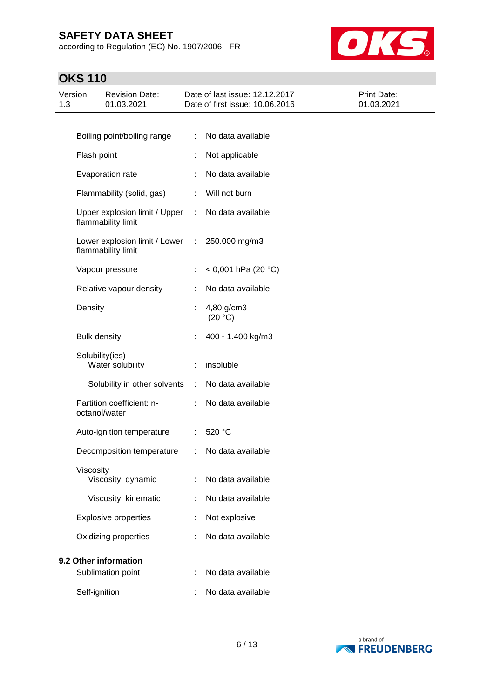according to Regulation (EC) No. 1907/2006 - FR



# **OKS 110**

| Version<br>1.3 |                                     | <b>Revision Date:</b><br>01.03.2021                 |                      | Date of last issue: 12.12.2017<br>Date of first issue: 10.06.2016 | Print Date:<br>01.03.2021 |
|----------------|-------------------------------------|-----------------------------------------------------|----------------------|-------------------------------------------------------------------|---------------------------|
|                |                                     |                                                     |                      |                                                                   |                           |
|                | Boiling point/boiling range         |                                                     |                      | No data available                                                 |                           |
|                | Flash point                         |                                                     |                      | Not applicable                                                    |                           |
|                |                                     | Evaporation rate                                    |                      | No data available                                                 |                           |
|                |                                     | Flammability (solid, gas)                           | ÷                    | Will not burn                                                     |                           |
|                |                                     | Upper explosion limit / Upper<br>flammability limit | ÷                    | No data available                                                 |                           |
|                |                                     | Lower explosion limit / Lower<br>flammability limit | ÷                    | 250.000 mg/m3                                                     |                           |
|                |                                     | Vapour pressure                                     |                      | < 0,001 hPa (20 °C)                                               |                           |
|                |                                     | Relative vapour density                             |                      | No data available                                                 |                           |
|                | Density                             |                                                     |                      | 4,80 g/cm3<br>(20 °C)                                             |                           |
|                | <b>Bulk density</b>                 |                                                     |                      | 400 - 1.400 kg/m3                                                 |                           |
|                | Solubility(ies)<br>Water solubility |                                                     |                      | insoluble                                                         |                           |
|                |                                     | Solubility in other solvents                        | $\ddot{\phantom{a}}$ | No data available                                                 |                           |
|                |                                     | Partition coefficient: n-<br>octanol/water          |                      | No data available                                                 |                           |
|                |                                     | Auto-ignition temperature                           |                      | 520 °C                                                            |                           |
|                |                                     | Decomposition temperature                           | ÷                    | No data available                                                 |                           |
|                | Viscosity                           | Viscosity, dynamic                                  |                      | No data available                                                 |                           |
|                |                                     | Viscosity, kinematic                                |                      | No data available                                                 |                           |
|                |                                     | <b>Explosive properties</b>                         |                      | Not explosive                                                     |                           |
|                |                                     | Oxidizing properties                                |                      | No data available                                                 |                           |
|                |                                     | 9.2 Other information                               |                      |                                                                   |                           |
|                |                                     | Sublimation point                                   |                      | No data available                                                 |                           |
|                | Self-ignition                       |                                                     |                      | No data available                                                 |                           |

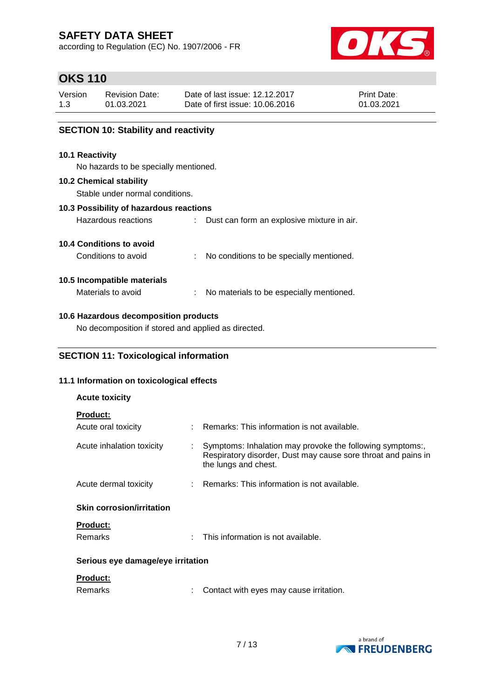according to Regulation (EC) No. 1907/2006 - FR



# **OKS 110**

| Version | Revision Date: | Date of last issue: 12.12.2017  | <b>Print Date:</b> |
|---------|----------------|---------------------------------|--------------------|
| 1.3     | 01.03.2021     | Date of first issue: 10.06.2016 | 01.03.2021         |

## **SECTION 10: Stability and reactivity**

#### **10.1 Reactivity**

No hazards to be specially mentioned.

#### **10.2 Chemical stability**

Stable under normal conditions.

#### **10.3 Possibility of hazardous reactions**

| Hazardous reactions | Dust can form an explosive mixture in air. |
|---------------------|--------------------------------------------|
|                     |                                            |

#### **10.4 Conditions to avoid**

Conditions to avoid : No conditions to be specially mentioned.

#### **10.5 Incompatible materials**

Materials to avoid : No materials to be especially mentioned.

#### **10.6 Hazardous decomposition products**

No decomposition if stored and applied as directed.

## **SECTION 11: Toxicological information**

## **11.1 Information on toxicological effects**

# **Acute toxicity**

| <b>Product:</b>                   |                                                                                                                                                    |  |  |  |  |  |
|-----------------------------------|----------------------------------------------------------------------------------------------------------------------------------------------------|--|--|--|--|--|
| Acute oral toxicity               | : Remarks: This information is not available.                                                                                                      |  |  |  |  |  |
| Acute inhalation toxicity         | Symptoms: Inhalation may provoke the following symptoms:,<br>Respiratory disorder, Dust may cause sore throat and pains in<br>the lungs and chest. |  |  |  |  |  |
| Acute dermal toxicity             | : Remarks: This information is not available.                                                                                                      |  |  |  |  |  |
| <b>Skin corrosion/irritation</b>  |                                                                                                                                                    |  |  |  |  |  |
| <b>Product:</b>                   |                                                                                                                                                    |  |  |  |  |  |
| Remarks                           | This information is not available.                                                                                                                 |  |  |  |  |  |
| Serious eye damage/eye irritation |                                                                                                                                                    |  |  |  |  |  |
| <b>Product:</b>                   |                                                                                                                                                    |  |  |  |  |  |

| Remarks |  | Contact with eyes may cause irritation. |  |
|---------|--|-----------------------------------------|--|
|---------|--|-----------------------------------------|--|

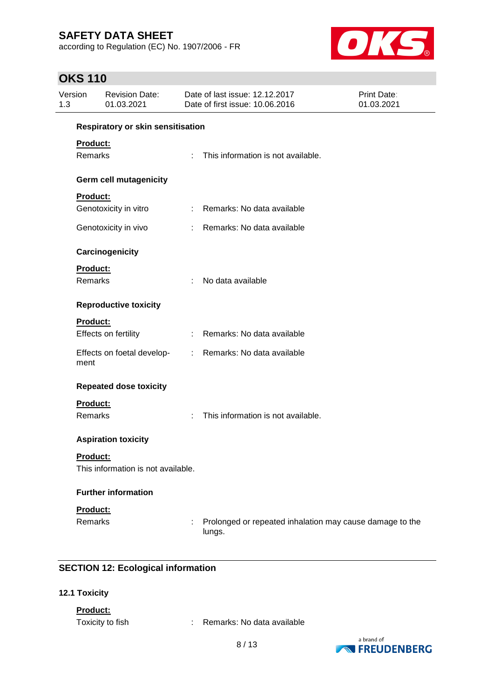according to Regulation (EC) No. 1907/2006 - FR



# **OKS 110**

| Respiratory or skin sensitisation<br>Product:<br>Remarks<br>This information is not available.<br>÷.<br><b>Germ cell mutagenicity</b><br>Product:<br>: Remarks: No data available<br>Genotoxicity in vitro<br>Remarks: No data available<br>Genotoxicity in vivo<br>$\mathcal{L}$<br>Carcinogenicity<br>Product:<br>Remarks<br>No data available<br><b>Reproductive toxicity</b><br>Product:<br>Effects on fertility<br>Remarks: No data available<br>$\mathbb{Z}^{\times}$<br>Effects on foetal develop-<br>$\mathcal{L}^{\mathcal{L}}$<br>Remarks: No data available<br>ment<br><b>Repeated dose toxicity</b><br>Product:<br>Remarks<br>This information is not available.<br>÷<br><b>Aspiration toxicity</b><br><b>Product:</b><br>This information is not available.<br><b>Further information</b><br>Product:<br>Remarks<br>Prolonged or repeated inhalation may cause damage to the<br>lungs. | Version<br><b>Revision Date:</b><br>1.3<br>01.03.2021 |  | Date of last issue: 12.12.2017<br><b>Print Date:</b><br>Date of first issue: 10.06.2016<br>01.03.2021 |  |  |  |
|-----------------------------------------------------------------------------------------------------------------------------------------------------------------------------------------------------------------------------------------------------------------------------------------------------------------------------------------------------------------------------------------------------------------------------------------------------------------------------------------------------------------------------------------------------------------------------------------------------------------------------------------------------------------------------------------------------------------------------------------------------------------------------------------------------------------------------------------------------------------------------------------------------|-------------------------------------------------------|--|-------------------------------------------------------------------------------------------------------|--|--|--|
|                                                                                                                                                                                                                                                                                                                                                                                                                                                                                                                                                                                                                                                                                                                                                                                                                                                                                                     |                                                       |  |                                                                                                       |  |  |  |
|                                                                                                                                                                                                                                                                                                                                                                                                                                                                                                                                                                                                                                                                                                                                                                                                                                                                                                     |                                                       |  |                                                                                                       |  |  |  |
|                                                                                                                                                                                                                                                                                                                                                                                                                                                                                                                                                                                                                                                                                                                                                                                                                                                                                                     |                                                       |  |                                                                                                       |  |  |  |
|                                                                                                                                                                                                                                                                                                                                                                                                                                                                                                                                                                                                                                                                                                                                                                                                                                                                                                     |                                                       |  |                                                                                                       |  |  |  |
|                                                                                                                                                                                                                                                                                                                                                                                                                                                                                                                                                                                                                                                                                                                                                                                                                                                                                                     |                                                       |  |                                                                                                       |  |  |  |
|                                                                                                                                                                                                                                                                                                                                                                                                                                                                                                                                                                                                                                                                                                                                                                                                                                                                                                     |                                                       |  |                                                                                                       |  |  |  |
|                                                                                                                                                                                                                                                                                                                                                                                                                                                                                                                                                                                                                                                                                                                                                                                                                                                                                                     |                                                       |  |                                                                                                       |  |  |  |
|                                                                                                                                                                                                                                                                                                                                                                                                                                                                                                                                                                                                                                                                                                                                                                                                                                                                                                     |                                                       |  |                                                                                                       |  |  |  |
|                                                                                                                                                                                                                                                                                                                                                                                                                                                                                                                                                                                                                                                                                                                                                                                                                                                                                                     |                                                       |  |                                                                                                       |  |  |  |
|                                                                                                                                                                                                                                                                                                                                                                                                                                                                                                                                                                                                                                                                                                                                                                                                                                                                                                     |                                                       |  |                                                                                                       |  |  |  |
|                                                                                                                                                                                                                                                                                                                                                                                                                                                                                                                                                                                                                                                                                                                                                                                                                                                                                                     |                                                       |  |                                                                                                       |  |  |  |
|                                                                                                                                                                                                                                                                                                                                                                                                                                                                                                                                                                                                                                                                                                                                                                                                                                                                                                     |                                                       |  |                                                                                                       |  |  |  |
|                                                                                                                                                                                                                                                                                                                                                                                                                                                                                                                                                                                                                                                                                                                                                                                                                                                                                                     |                                                       |  |                                                                                                       |  |  |  |
|                                                                                                                                                                                                                                                                                                                                                                                                                                                                                                                                                                                                                                                                                                                                                                                                                                                                                                     |                                                       |  |                                                                                                       |  |  |  |
|                                                                                                                                                                                                                                                                                                                                                                                                                                                                                                                                                                                                                                                                                                                                                                                                                                                                                                     |                                                       |  |                                                                                                       |  |  |  |
|                                                                                                                                                                                                                                                                                                                                                                                                                                                                                                                                                                                                                                                                                                                                                                                                                                                                                                     |                                                       |  |                                                                                                       |  |  |  |
|                                                                                                                                                                                                                                                                                                                                                                                                                                                                                                                                                                                                                                                                                                                                                                                                                                                                                                     |                                                       |  |                                                                                                       |  |  |  |
|                                                                                                                                                                                                                                                                                                                                                                                                                                                                                                                                                                                                                                                                                                                                                                                                                                                                                                     |                                                       |  |                                                                                                       |  |  |  |
|                                                                                                                                                                                                                                                                                                                                                                                                                                                                                                                                                                                                                                                                                                                                                                                                                                                                                                     |                                                       |  |                                                                                                       |  |  |  |
|                                                                                                                                                                                                                                                                                                                                                                                                                                                                                                                                                                                                                                                                                                                                                                                                                                                                                                     |                                                       |  |                                                                                                       |  |  |  |

## **SECTION 12: Ecological information**

#### **12.1 Toxicity**

### **Product:**

Toxicity to fish : Remarks: No data available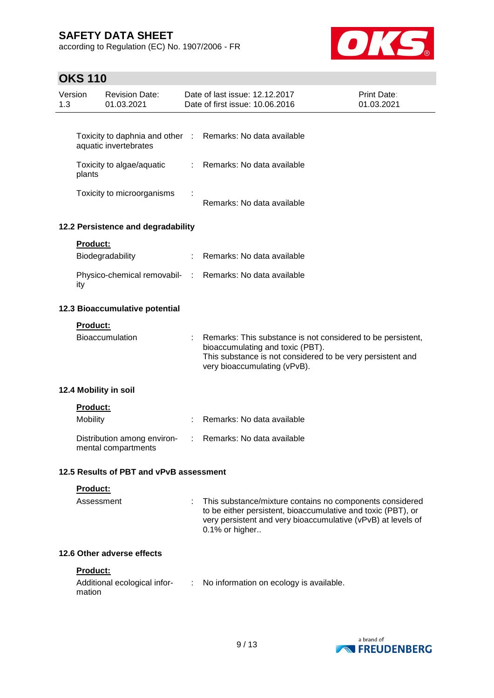according to Regulation (EC) No. 1907/2006 - FR



# **OKS 110**

| 1.3 | Version         | <b>Revision Date:</b><br>01.03.2021                |                            | Date of last issue: 12.12.2017<br>Date of first issue: 10.06.2016                                                                                                                                          | <b>Print Date:</b><br>01.03.2021 |
|-----|-----------------|----------------------------------------------------|----------------------------|------------------------------------------------------------------------------------------------------------------------------------------------------------------------------------------------------------|----------------------------------|
|     |                 |                                                    |                            |                                                                                                                                                                                                            |                                  |
|     |                 | aquatic invertebrates                              |                            | Toxicity to daphnia and other : Remarks: No data available                                                                                                                                                 |                                  |
|     | plants          | Toxicity to algae/aquatic                          | t.                         | Remarks: No data available                                                                                                                                                                                 |                                  |
|     |                 | Toxicity to microorganisms                         |                            | Remarks: No data available                                                                                                                                                                                 |                                  |
|     |                 | 12.2 Persistence and degradability                 |                            |                                                                                                                                                                                                            |                                  |
|     | <b>Product:</b> |                                                    |                            |                                                                                                                                                                                                            |                                  |
|     |                 | Biodegradability                                   |                            | Remarks: No data available                                                                                                                                                                                 |                                  |
|     | ity             |                                                    |                            | Physico-chemical removabil- : Remarks: No data available                                                                                                                                                   |                                  |
|     |                 | 12.3 Bioaccumulative potential                     |                            |                                                                                                                                                                                                            |                                  |
|     | <b>Product:</b> |                                                    |                            |                                                                                                                                                                                                            |                                  |
|     |                 | <b>Bioaccumulation</b>                             |                            | Remarks: This substance is not considered to be persistent,<br>bioaccumulating and toxic (PBT).<br>This substance is not considered to be very persistent and<br>very bioaccumulating (vPvB).              |                                  |
|     |                 | 12.4 Mobility in soil                              |                            |                                                                                                                                                                                                            |                                  |
|     | <b>Product:</b> |                                                    |                            |                                                                                                                                                                                                            |                                  |
|     | Mobility        |                                                    |                            | Remarks: No data available                                                                                                                                                                                 |                                  |
|     |                 | Distribution among environ-<br>mental compartments |                            | Remarks: No data available                                                                                                                                                                                 |                                  |
|     |                 | 12.5 Results of PBT and vPvB assessment            |                            |                                                                                                                                                                                                            |                                  |
|     | Product:        |                                                    |                            |                                                                                                                                                                                                            |                                  |
|     | Assessment      |                                                    |                            | This substance/mixture contains no components considered<br>to be either persistent, bioaccumulative and toxic (PBT), or<br>very persistent and very bioaccumulative (vPvB) at levels of<br>0.1% or higher |                                  |
|     |                 | 12.6 Other adverse effects                         |                            |                                                                                                                                                                                                            |                                  |
|     | <b>Product:</b> |                                                    |                            |                                                                                                                                                                                                            |                                  |
|     | mation          | Additional ecological infor-                       | $\mathcal{L}^{\text{max}}$ | No information on ecology is available.                                                                                                                                                                    |                                  |
|     |                 |                                                    |                            |                                                                                                                                                                                                            |                                  |

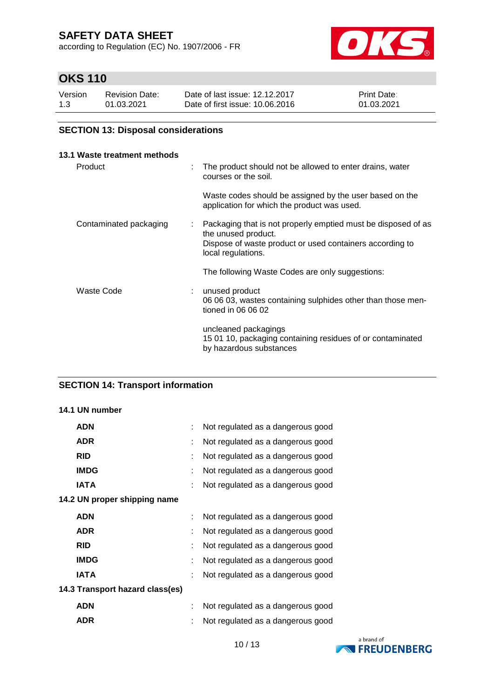according to Regulation (EC) No. 1907/2006 - FR



# **OKS 110**

| Version | <b>Revision Date:</b> | Date of last issue: 12.12.2017  | <b>Print Date:</b> |
|---------|-----------------------|---------------------------------|--------------------|
| 1.3     | 01.03.2021            | Date of first issue: 10.06.2016 | 01.03.2021         |

## **SECTION 13: Disposal considerations**

| 13.1 Waste treatment methods<br>Product |                           | The product should not be allowed to enter drains, water<br>courses or the soil.                                                                                       |
|-----------------------------------------|---------------------------|------------------------------------------------------------------------------------------------------------------------------------------------------------------------|
|                                         |                           | Waste codes should be assigned by the user based on the<br>application for which the product was used.                                                                 |
| Contaminated packaging                  | $\mathbb{Z}^{\mathbb{Z}}$ | Packaging that is not properly emptied must be disposed of as<br>the unused product.<br>Dispose of waste product or used containers according to<br>local regulations. |
|                                         |                           | The following Waste Codes are only suggestions:                                                                                                                        |
| Waste Code                              | ÷.                        | unused product<br>06 06 03, wastes containing sulphides other than those men-<br>tioned in 06 06 02                                                                    |
|                                         |                           | uncleaned packagings<br>15 01 10, packaging containing residues of or contaminated<br>by hazardous substances                                                          |

## **SECTION 14: Transport information**

#### **14.1 UN number**

| <b>ADN</b>                      |    | Not regulated as a dangerous good |  |
|---------------------------------|----|-----------------------------------|--|
| <b>ADR</b>                      | t. | Not regulated as a dangerous good |  |
| <b>RID</b>                      | ÷  | Not regulated as a dangerous good |  |
| <b>IMDG</b>                     |    | Not regulated as a dangerous good |  |
| IATA                            |    | Not regulated as a dangerous good |  |
| 14.2 UN proper shipping name    |    |                                   |  |
| <b>ADN</b>                      |    | Not regulated as a dangerous good |  |
| <b>ADR</b>                      | t  | Not regulated as a dangerous good |  |
| <b>RID</b>                      |    | Not regulated as a dangerous good |  |
| <b>IMDG</b>                     |    | Not regulated as a dangerous good |  |
| IATA                            | t  | Not regulated as a dangerous good |  |
| 14.3 Transport hazard class(es) |    |                                   |  |
| <b>ADN</b>                      |    | Not regulated as a dangerous good |  |
| <b>ADR</b>                      |    | Not regulated as a dangerous good |  |

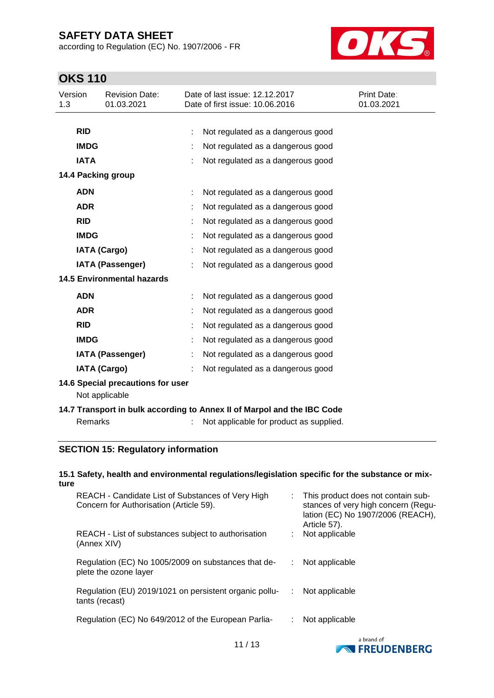according to Regulation (EC) No. 1907/2006 - FR



# **OKS 110**

| Version<br>1.3                                                          |                     | <b>Revision Date:</b><br>01.03.2021 |  | Date of last issue: 12.12.2017<br>Date of first issue: 10.06.2016 | Print Date:<br>01.03.2021 |  |
|-------------------------------------------------------------------------|---------------------|-------------------------------------|--|-------------------------------------------------------------------|---------------------------|--|
|                                                                         |                     |                                     |  |                                                                   |                           |  |
|                                                                         | <b>RID</b>          |                                     |  | Not regulated as a dangerous good                                 |                           |  |
|                                                                         | <b>IMDG</b>         |                                     |  | Not regulated as a dangerous good                                 |                           |  |
|                                                                         | <b>IATA</b>         |                                     |  | Not regulated as a dangerous good                                 |                           |  |
|                                                                         |                     | 14.4 Packing group                  |  |                                                                   |                           |  |
|                                                                         | <b>ADN</b>          |                                     |  | Not regulated as a dangerous good                                 |                           |  |
|                                                                         | <b>ADR</b>          |                                     |  | Not regulated as a dangerous good                                 |                           |  |
|                                                                         | <b>RID</b>          |                                     |  | Not regulated as a dangerous good                                 |                           |  |
|                                                                         | <b>IMDG</b>         |                                     |  | Not regulated as a dangerous good                                 |                           |  |
|                                                                         | <b>IATA (Cargo)</b> |                                     |  | Not regulated as a dangerous good                                 |                           |  |
|                                                                         |                     | <b>IATA (Passenger)</b>             |  | Not regulated as a dangerous good                                 |                           |  |
|                                                                         |                     | <b>14.5 Environmental hazards</b>   |  |                                                                   |                           |  |
|                                                                         | <b>ADN</b>          |                                     |  | Not regulated as a dangerous good                                 |                           |  |
|                                                                         | <b>ADR</b>          |                                     |  | Not regulated as a dangerous good                                 |                           |  |
|                                                                         | <b>RID</b>          |                                     |  | Not regulated as a dangerous good                                 |                           |  |
|                                                                         | <b>IMDG</b>         |                                     |  | Not regulated as a dangerous good                                 |                           |  |
|                                                                         |                     | <b>IATA (Passenger)</b>             |  | Not regulated as a dangerous good                                 |                           |  |
|                                                                         | <b>IATA (Cargo)</b> |                                     |  | Not regulated as a dangerous good                                 |                           |  |
| 14.6 Special precautions for user                                       |                     |                                     |  |                                                                   |                           |  |
|                                                                         | Not applicable      |                                     |  |                                                                   |                           |  |
| 14.7 Transport in bulk according to Annex II of Marpol and the IBC Code |                     |                                     |  |                                                                   |                           |  |
|                                                                         | <b>Remarks</b>      |                                     |  | Not applicable for product as supplied.                           |                           |  |
|                                                                         |                     | SECTION 15: Requistory information  |  |                                                                   |                           |  |

## **SECTION 15: Regulatory information**

#### **15.1 Safety, health and environmental regulations/legislation specific for the substance or mixture**

| REACH - Candidate List of Substances of Very High<br>Concern for Authorisation (Article 59). |    | : This product does not contain sub-<br>stances of very high concern (Regu-<br>lation (EC) No 1907/2006 (REACH),<br>Article 57). |
|----------------------------------------------------------------------------------------------|----|----------------------------------------------------------------------------------------------------------------------------------|
| REACH - List of substances subject to authorisation<br>(Annex XIV)                           |    | Not applicable                                                                                                                   |
| Regulation (EC) No 1005/2009 on substances that de-<br>plete the ozone layer                 |    | Not applicable                                                                                                                   |
| Regulation (EU) 2019/1021 on persistent organic pollu-<br>tants (recast)                     | ÷. | Not applicable                                                                                                                   |
| Regulation (EC) No 649/2012 of the European Parlia-                                          |    | Not applicable                                                                                                                   |

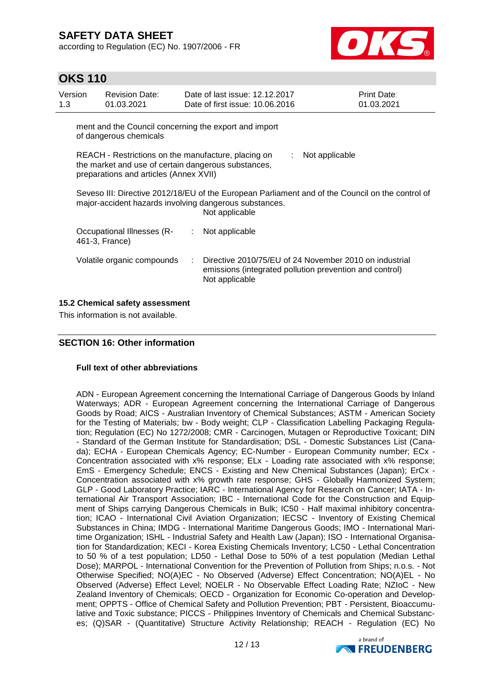according to Regulation (EC) No. 1907/2006 - FR



## **OKS 110**

| Version<br>1.3                  |                                                                                                                                                                              | <b>Revision Date:</b><br>01.03.2021          |    | Date of last issue: 12.12.2017<br>Date of first issue: 10.06.2016                                                                   | <b>Print Date:</b><br>01.03.2021 |  |  |
|---------------------------------|------------------------------------------------------------------------------------------------------------------------------------------------------------------------------|----------------------------------------------|----|-------------------------------------------------------------------------------------------------------------------------------------|----------------------------------|--|--|
|                                 | ment and the Council concerning the export and import<br>of dangerous chemicals                                                                                              |                                              |    |                                                                                                                                     |                                  |  |  |
|                                 | REACH - Restrictions on the manufacture, placing on<br>Not applicable<br>the market and use of certain dangerous substances,<br>preparations and articles (Annex XVII)       |                                              |    |                                                                                                                                     |                                  |  |  |
|                                 | Seveso III: Directive 2012/18/EU of the European Parliament and of the Council on the control of<br>major-accident hazards involving dangerous substances.<br>Not applicable |                                              |    |                                                                                                                                     |                                  |  |  |
|                                 |                                                                                                                                                                              | Occupational Illnesses (R-<br>461-3, France) | ÷. | Not applicable                                                                                                                      |                                  |  |  |
|                                 |                                                                                                                                                                              | Volatile organic compounds                   | ÷  | Directive 2010/75/EU of 24 November 2010 on industrial<br>emissions (integrated pollution prevention and control)<br>Not applicable |                                  |  |  |
| 15.2 Chemical safety assessment |                                                                                                                                                                              |                                              |    |                                                                                                                                     |                                  |  |  |

This information is not available.

#### **SECTION 16: Other information**

#### **Full text of other abbreviations**

ADN - European Agreement concerning the International Carriage of Dangerous Goods by Inland Waterways; ADR - European Agreement concerning the International Carriage of Dangerous Goods by Road; AICS - Australian Inventory of Chemical Substances; ASTM - American Society for the Testing of Materials; bw - Body weight; CLP - Classification Labelling Packaging Regulation; Regulation (EC) No 1272/2008; CMR - Carcinogen, Mutagen or Reproductive Toxicant; DIN - Standard of the German Institute for Standardisation; DSL - Domestic Substances List (Canada); ECHA - European Chemicals Agency; EC-Number - European Community number; ECx - Concentration associated with x% response; ELx - Loading rate associated with x% response; EmS - Emergency Schedule; ENCS - Existing and New Chemical Substances (Japan); ErCx - Concentration associated with x% growth rate response; GHS - Globally Harmonized System; GLP - Good Laboratory Practice; IARC - International Agency for Research on Cancer; IATA - International Air Transport Association; IBC - International Code for the Construction and Equipment of Ships carrying Dangerous Chemicals in Bulk; IC50 - Half maximal inhibitory concentration; ICAO - International Civil Aviation Organization; IECSC - Inventory of Existing Chemical Substances in China; IMDG - International Maritime Dangerous Goods; IMO - International Maritime Organization; ISHL - Industrial Safety and Health Law (Japan); ISO - International Organisation for Standardization; KECI - Korea Existing Chemicals Inventory; LC50 - Lethal Concentration to 50 % of a test population; LD50 - Lethal Dose to 50% of a test population (Median Lethal Dose); MARPOL - International Convention for the Prevention of Pollution from Ships; n.o.s. - Not Otherwise Specified; NO(A)EC - No Observed (Adverse) Effect Concentration; NO(A)EL - No Observed (Adverse) Effect Level; NOELR - No Observable Effect Loading Rate; NZIoC - New Zealand Inventory of Chemicals; OECD - Organization for Economic Co-operation and Development; OPPTS - Office of Chemical Safety and Pollution Prevention; PBT - Persistent, Bioaccumulative and Toxic substance; PICCS - Philippines Inventory of Chemicals and Chemical Substances; (Q)SAR - (Quantitative) Structure Activity Relationship; REACH - Regulation (EC) No